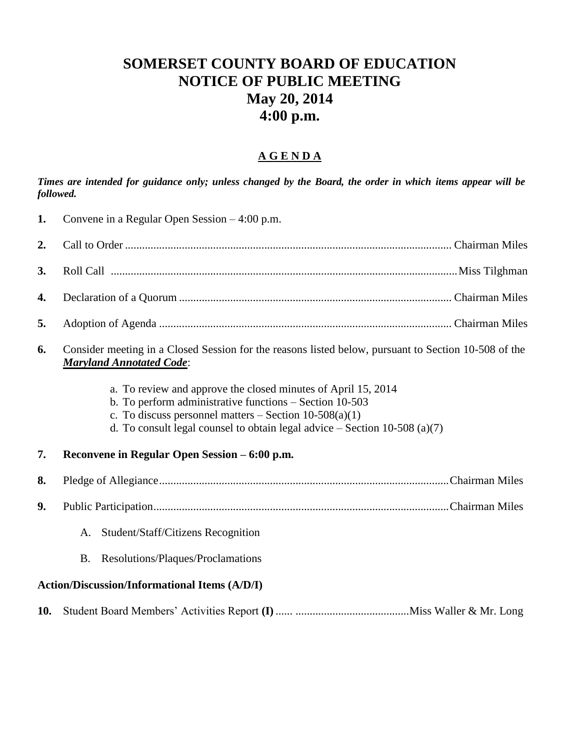## **SOMERSET COUNTY BOARD OF EDUCATION NOTICE OF PUBLIC MEETING May 20, 2014 4:00 p.m.**

## **A G E N D A**

*Times are intended for guidance only; unless changed by the Board, the order in which items appear will be followed.*

| 1.  | Convene in a Regular Open Session $-4:00$ p.m.                                                                                                                                                                                                                       |  |  |
|-----|----------------------------------------------------------------------------------------------------------------------------------------------------------------------------------------------------------------------------------------------------------------------|--|--|
| 2.  |                                                                                                                                                                                                                                                                      |  |  |
| 3.  |                                                                                                                                                                                                                                                                      |  |  |
| 4.  |                                                                                                                                                                                                                                                                      |  |  |
| 5.  |                                                                                                                                                                                                                                                                      |  |  |
| 6.  | Consider meeting in a Closed Session for the reasons listed below, pursuant to Section 10-508 of the<br><b>Maryland Annotated Code:</b>                                                                                                                              |  |  |
|     | a. To review and approve the closed minutes of April 15, 2014<br>b. To perform administrative functions - Section 10-503<br>c. To discuss personnel matters $-$ Section 10-508(a)(1)<br>d. To consult legal counsel to obtain legal advice $-$ Section 10-508 (a)(7) |  |  |
| 7.  | Reconvene in Regular Open Session – 6:00 p.m.                                                                                                                                                                                                                        |  |  |
| 8.  |                                                                                                                                                                                                                                                                      |  |  |
| 9.  |                                                                                                                                                                                                                                                                      |  |  |
|     | Student/Staff/Citizens Recognition<br>A.                                                                                                                                                                                                                             |  |  |
|     | Resolutions/Plaques/Proclamations<br>В.                                                                                                                                                                                                                              |  |  |
|     | <b>Action/Discussion/Informational Items (A/D/I)</b>                                                                                                                                                                                                                 |  |  |
| 10. |                                                                                                                                                                                                                                                                      |  |  |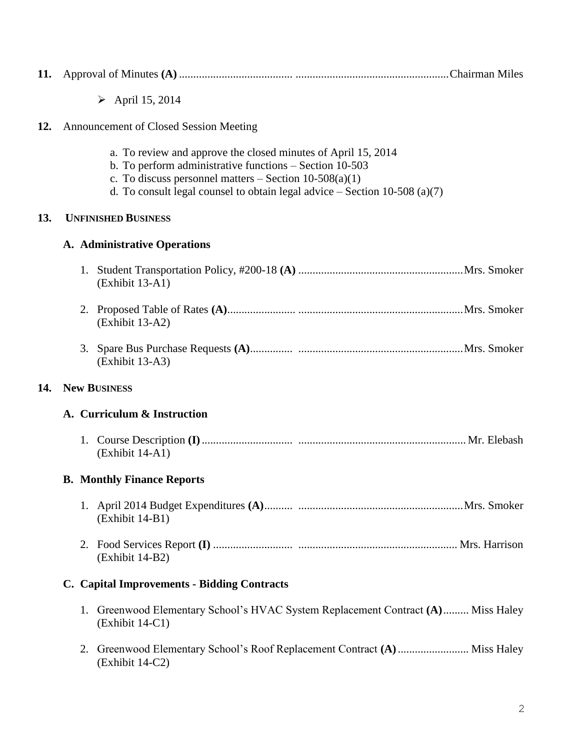| 11. |                                     |                                                                                                                                                                                                                                                                      |  |  |  |
|-----|-------------------------------------|----------------------------------------------------------------------------------------------------------------------------------------------------------------------------------------------------------------------------------------------------------------------|--|--|--|
|     |                                     | $\triangleright$ April 15, 2014                                                                                                                                                                                                                                      |  |  |  |
| 12. |                                     | Announcement of Closed Session Meeting                                                                                                                                                                                                                               |  |  |  |
|     |                                     | a. To review and approve the closed minutes of April 15, 2014<br>b. To perform administrative functions – Section 10-503<br>c. To discuss personnel matters $-$ Section 10-508(a)(1)<br>d. To consult legal counsel to obtain legal advice $-$ Section 10-508 (a)(7) |  |  |  |
| 13. | <b>UNFINISHED BUSINESS</b>          |                                                                                                                                                                                                                                                                      |  |  |  |
|     | <b>A. Administrative Operations</b> |                                                                                                                                                                                                                                                                      |  |  |  |
|     |                                     | (Exhibit 13-A1)                                                                                                                                                                                                                                                      |  |  |  |
|     |                                     | (Exhibit 13-A2)                                                                                                                                                                                                                                                      |  |  |  |
|     |                                     | (Exhibit 13-A3)                                                                                                                                                                                                                                                      |  |  |  |
| 14. | <b>New BUSINESS</b>                 |                                                                                                                                                                                                                                                                      |  |  |  |
|     |                                     | A. Curriculum & Instruction                                                                                                                                                                                                                                          |  |  |  |
|     |                                     | (Exhibit 14-A1)                                                                                                                                                                                                                                                      |  |  |  |
|     |                                     | <b>B.</b> Monthly Finance Reports                                                                                                                                                                                                                                    |  |  |  |
|     |                                     | (Exhibit 14-B1)                                                                                                                                                                                                                                                      |  |  |  |
|     |                                     | (Exhibit 14-B2)                                                                                                                                                                                                                                                      |  |  |  |
|     |                                     | C. Capital Improvements - Bidding Contracts                                                                                                                                                                                                                          |  |  |  |
|     |                                     | 1. Greenwood Elementary School's HVAC System Replacement Contract (A) Miss Haley<br>$(Exhibit 14-C1)$                                                                                                                                                                |  |  |  |
|     | 2.                                  | (Exhibit 14-C2)                                                                                                                                                                                                                                                      |  |  |  |